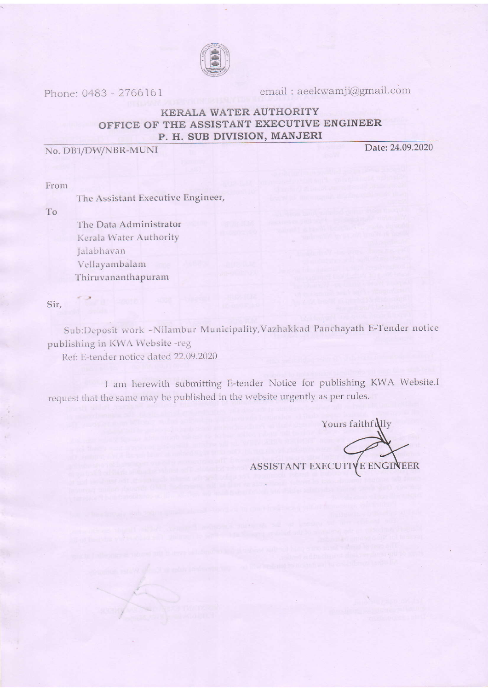

Phone: 0483 - 2766161

email: aeekwamji@gmail.com

## KERALA WATER AUTHORITY OFFICE OF THE ASSISTANT EXECUTIVE ENGINEER P. H. SUB DIVISION, MANJERI

No. DB1/DW/NBR-MUNI

Date: 24.09.2020

From

The Assistant Executive Engineer,

To

The Data Administrator Kerala Water Authority Jalabhavan Vellayambalam Thiruvananthapuram

Sir,

Sub:Deposit work -Nilambur Municipality,Vazhakkad Panchayath E-Tender notice publishing in KWA Website -reg

Ref: E-tender notice dated 22.09.2020

I am herewith submitting E-tender Notice for publishing KWA Website.I request that the same may be published in the website urgently as per rules.

Yours faithfully ASSISTANT EXECUTIVE ENGINEER